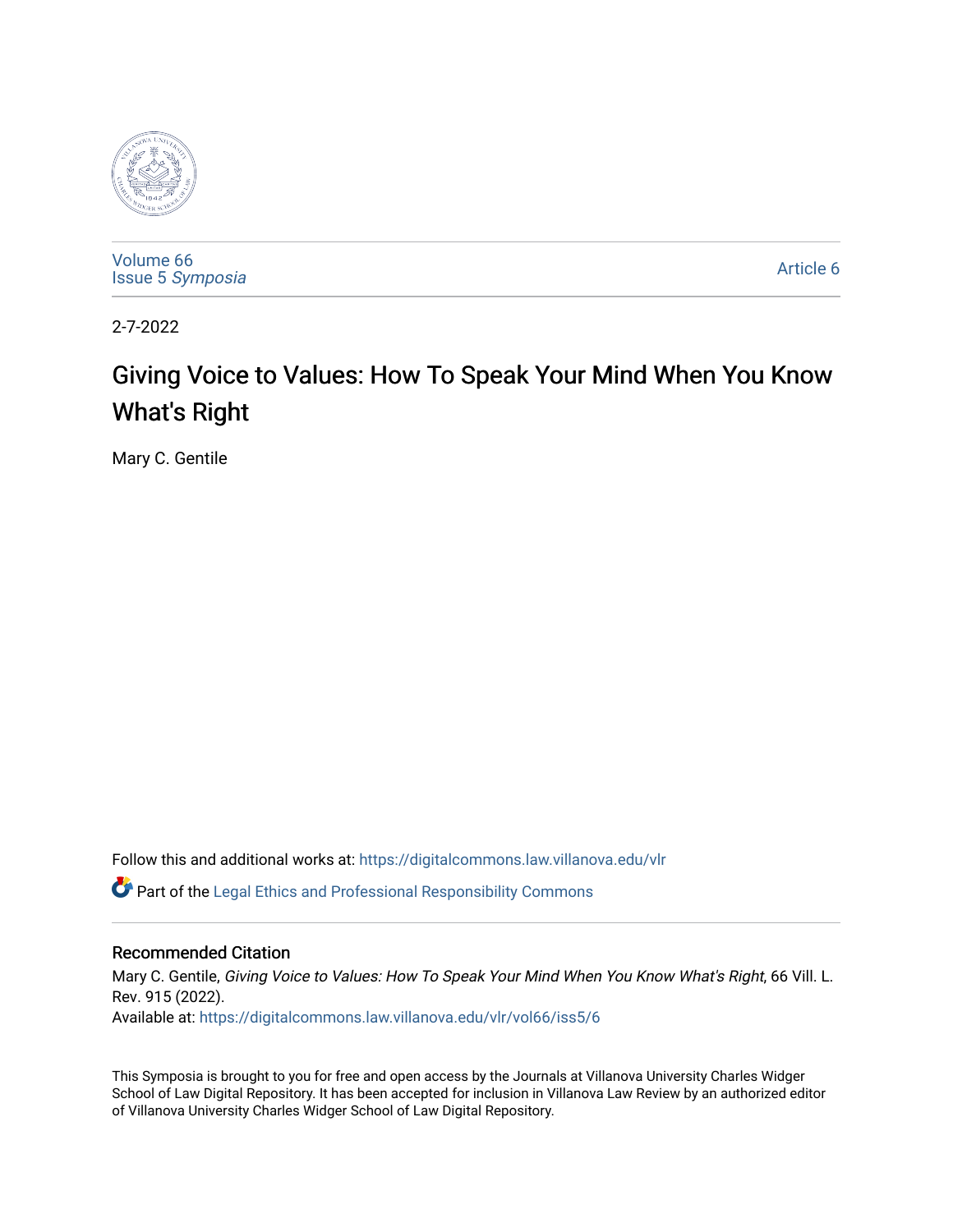

[Volume 66](https://digitalcommons.law.villanova.edu/vlr/vol66) Issue 5 [Symposia](https://digitalcommons.law.villanova.edu/vlr/vol66/iss5) 

[Article 6](https://digitalcommons.law.villanova.edu/vlr/vol66/iss5/6) 

2-7-2022

# Giving Voice to Values: How To Speak Your Mind When You Know What's Right

Mary C. Gentile

Follow this and additional works at: [https://digitalcommons.law.villanova.edu/vlr](https://digitalcommons.law.villanova.edu/vlr?utm_source=digitalcommons.law.villanova.edu%2Fvlr%2Fvol66%2Fiss5%2F6&utm_medium=PDF&utm_campaign=PDFCoverPages)

Part of the [Legal Ethics and Professional Responsibility Commons](https://network.bepress.com/hgg/discipline/895?utm_source=digitalcommons.law.villanova.edu%2Fvlr%2Fvol66%2Fiss5%2F6&utm_medium=PDF&utm_campaign=PDFCoverPages)

# Recommended Citation

Mary C. Gentile, Giving Voice to Values: How To Speak Your Mind When You Know What's Right, 66 Vill. L. Rev. 915 (2022).

Available at: [https://digitalcommons.law.villanova.edu/vlr/vol66/iss5/6](https://digitalcommons.law.villanova.edu/vlr/vol66/iss5/6?utm_source=digitalcommons.law.villanova.edu%2Fvlr%2Fvol66%2Fiss5%2F6&utm_medium=PDF&utm_campaign=PDFCoverPages) 

This Symposia is brought to you for free and open access by the Journals at Villanova University Charles Widger School of Law Digital Repository. It has been accepted for inclusion in Villanova Law Review by an authorized editor of Villanova University Charles Widger School of Law Digital Repository.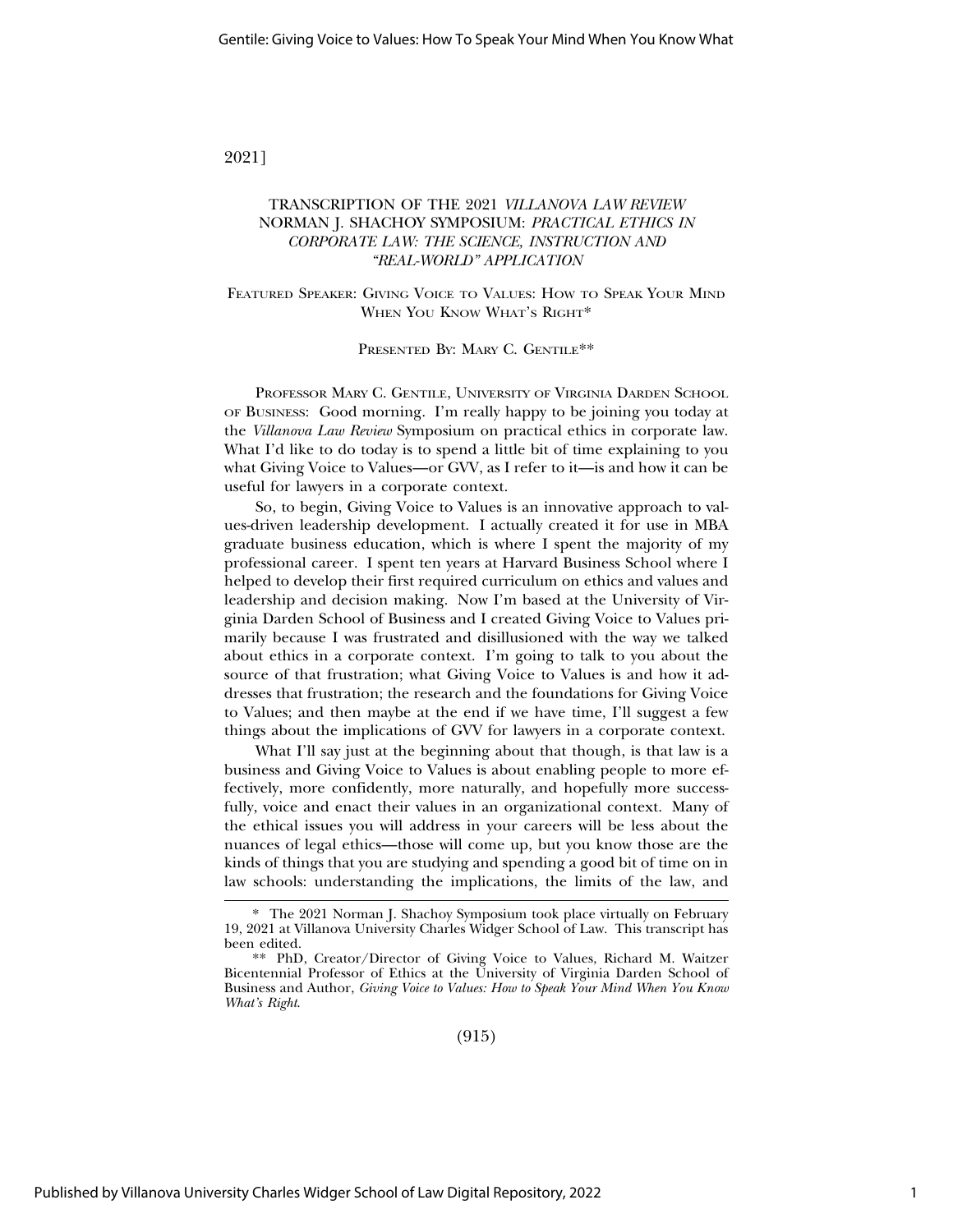2021]

## TRANSCRIPTION OF THE 2021 *VILLANOVA LAW REVIEW* NORMAN J. SHACHOY SYMPOSIUM: *PRACTICAL ETHICS IN CORPORATE LAW: THE SCIENCE, INSTRUCTION AND "REAL-WORLD" APPLICATION*

FEATURED SPEAKER: GIVING VOICE TO VALUES: HOW TO SPEAK YOUR MIND WHEN YOU KNOW WHAT'S RIGHT\*

PRESENTED BY: MARY C. GENTILE\*\*

PROFESSOR MARY C. GENTILE, UNIVERSITY OF VIRGINIA DARDEN SCHOOL OF BUSINESS: Good morning. I'm really happy to be joining you today at the *Villanova Law Review* Symposium on practical ethics in corporate law. What I'd like to do today is to spend a little bit of time explaining to you what Giving Voice to Values—or GVV, as I refer to it—is and how it can be useful for lawyers in a corporate context.

So, to begin, Giving Voice to Values is an innovative approach to values-driven leadership development. I actually created it for use in MBA graduate business education, which is where I spent the majority of my professional career. I spent ten years at Harvard Business School where I helped to develop their first required curriculum on ethics and values and leadership and decision making. Now I'm based at the University of Virginia Darden School of Business and I created Giving Voice to Values primarily because I was frustrated and disillusioned with the way we talked about ethics in a corporate context. I'm going to talk to you about the source of that frustration; what Giving Voice to Values is and how it addresses that frustration; the research and the foundations for Giving Voice to Values; and then maybe at the end if we have time, I'll suggest a few things about the implications of GVV for lawyers in a corporate context.

What I'll say just at the beginning about that though, is that law is a business and Giving Voice to Values is about enabling people to more effectively, more confidently, more naturally, and hopefully more successfully, voice and enact their values in an organizational context. Many of the ethical issues you will address in your careers will be less about the nuances of legal ethics—those will come up, but you know those are the kinds of things that you are studying and spending a good bit of time on in law schools: understanding the implications, the limits of the law, and

<sup>\*</sup> The 2021 Norman J. Shachoy Symposium took place virtually on February 19, 2021 at Villanova University Charles Widger School of Law. This transcript has been edited.

<sup>\*\*</sup> PhD, Creator/Director of Giving Voice to Values, Richard M. Waitzer Bicentennial Professor of Ethics at the University of Virginia Darden School of Business and Author, *Giving Voice to Values: How to Speak Your Mind When You Know What's Right*.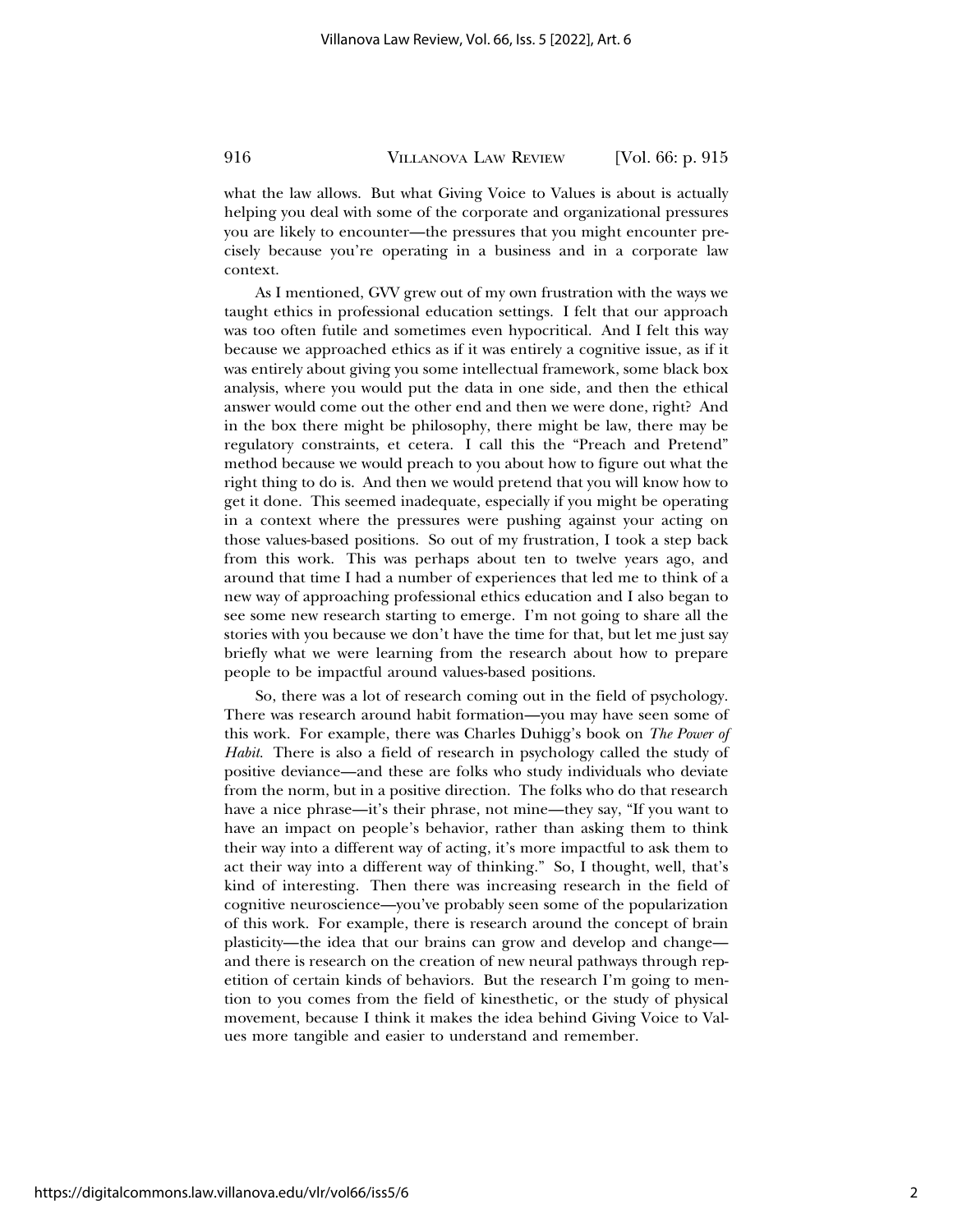what the law allows. But what Giving Voice to Values is about is actually helping you deal with some of the corporate and organizational pressures you are likely to encounter—the pressures that you might encounter precisely because you're operating in a business and in a corporate law context.

As I mentioned, GVV grew out of my own frustration with the ways we taught ethics in professional education settings. I felt that our approach was too often futile and sometimes even hypocritical. And I felt this way because we approached ethics as if it was entirely a cognitive issue, as if it was entirely about giving you some intellectual framework, some black box analysis, where you would put the data in one side, and then the ethical answer would come out the other end and then we were done, right? And in the box there might be philosophy, there might be law, there may be regulatory constraints, et cetera. I call this the "Preach and Pretend" method because we would preach to you about how to figure out what the right thing to do is. And then we would pretend that you will know how to get it done. This seemed inadequate, especially if you might be operating in a context where the pressures were pushing against your acting on those values-based positions. So out of my frustration, I took a step back from this work. This was perhaps about ten to twelve years ago, and around that time I had a number of experiences that led me to think of a new way of approaching professional ethics education and I also began to see some new research starting to emerge. I'm not going to share all the stories with you because we don't have the time for that, but let me just say briefly what we were learning from the research about how to prepare people to be impactful around values-based positions.

So, there was a lot of research coming out in the field of psychology. There was research around habit formation—you may have seen some of this work. For example, there was Charles Duhigg's book on *The Power of Habit*. There is also a field of research in psychology called the study of positive deviance—and these are folks who study individuals who deviate from the norm, but in a positive direction. The folks who do that research have a nice phrase—it's their phrase, not mine—they say, "If you want to have an impact on people's behavior, rather than asking them to think their way into a different way of acting, it's more impactful to ask them to act their way into a different way of thinking." So, I thought, well, that's kind of interesting. Then there was increasing research in the field of cognitive neuroscience—you've probably seen some of the popularization of this work. For example, there is research around the concept of brain plasticity—the idea that our brains can grow and develop and change and there is research on the creation of new neural pathways through repetition of certain kinds of behaviors. But the research I'm going to mention to you comes from the field of kinesthetic, or the study of physical movement, because I think it makes the idea behind Giving Voice to Values more tangible and easier to understand and remember.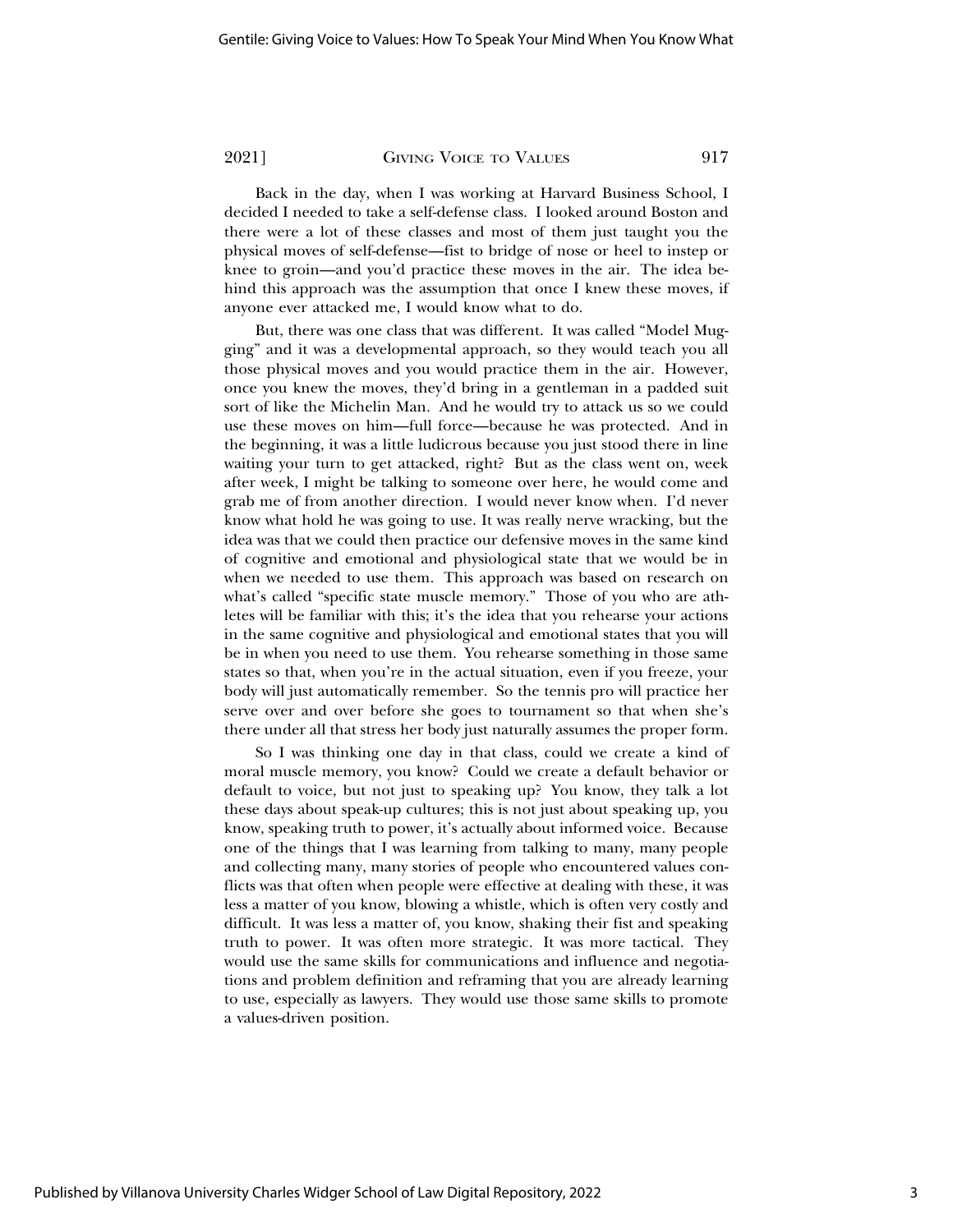Back in the day, when I was working at Harvard Business School, I decided I needed to take a self-defense class. I looked around Boston and there were a lot of these classes and most of them just taught you the physical moves of self-defense—fist to bridge of nose or heel to instep or knee to groin—and you'd practice these moves in the air. The idea behind this approach was the assumption that once I knew these moves, if anyone ever attacked me, I would know what to do.

But, there was one class that was different. It was called "Model Mugging" and it was a developmental approach, so they would teach you all those physical moves and you would practice them in the air. However, once you knew the moves, they'd bring in a gentleman in a padded suit sort of like the Michelin Man. And he would try to attack us so we could use these moves on him—full force—because he was protected. And in the beginning, it was a little ludicrous because you just stood there in line waiting your turn to get attacked, right? But as the class went on, week after week, I might be talking to someone over here, he would come and grab me of from another direction. I would never know when. I'd never know what hold he was going to use. It was really nerve wracking, but the idea was that we could then practice our defensive moves in the same kind of cognitive and emotional and physiological state that we would be in when we needed to use them. This approach was based on research on what's called "specific state muscle memory." Those of you who are athletes will be familiar with this; it's the idea that you rehearse your actions in the same cognitive and physiological and emotional states that you will be in when you need to use them. You rehearse something in those same states so that, when you're in the actual situation, even if you freeze, your body will just automatically remember. So the tennis pro will practice her serve over and over before she goes to tournament so that when she's there under all that stress her body just naturally assumes the proper form.

So I was thinking one day in that class, could we create a kind of moral muscle memory, you know? Could we create a default behavior or default to voice, but not just to speaking up? You know, they talk a lot these days about speak-up cultures; this is not just about speaking up, you know, speaking truth to power, it's actually about informed voice. Because one of the things that I was learning from talking to many, many people and collecting many, many stories of people who encountered values conflicts was that often when people were effective at dealing with these, it was less a matter of you know, blowing a whistle, which is often very costly and difficult. It was less a matter of, you know, shaking their fist and speaking truth to power. It was often more strategic. It was more tactical. They would use the same skills for communications and influence and negotiations and problem definition and reframing that you are already learning to use, especially as lawyers. They would use those same skills to promote a values-driven position.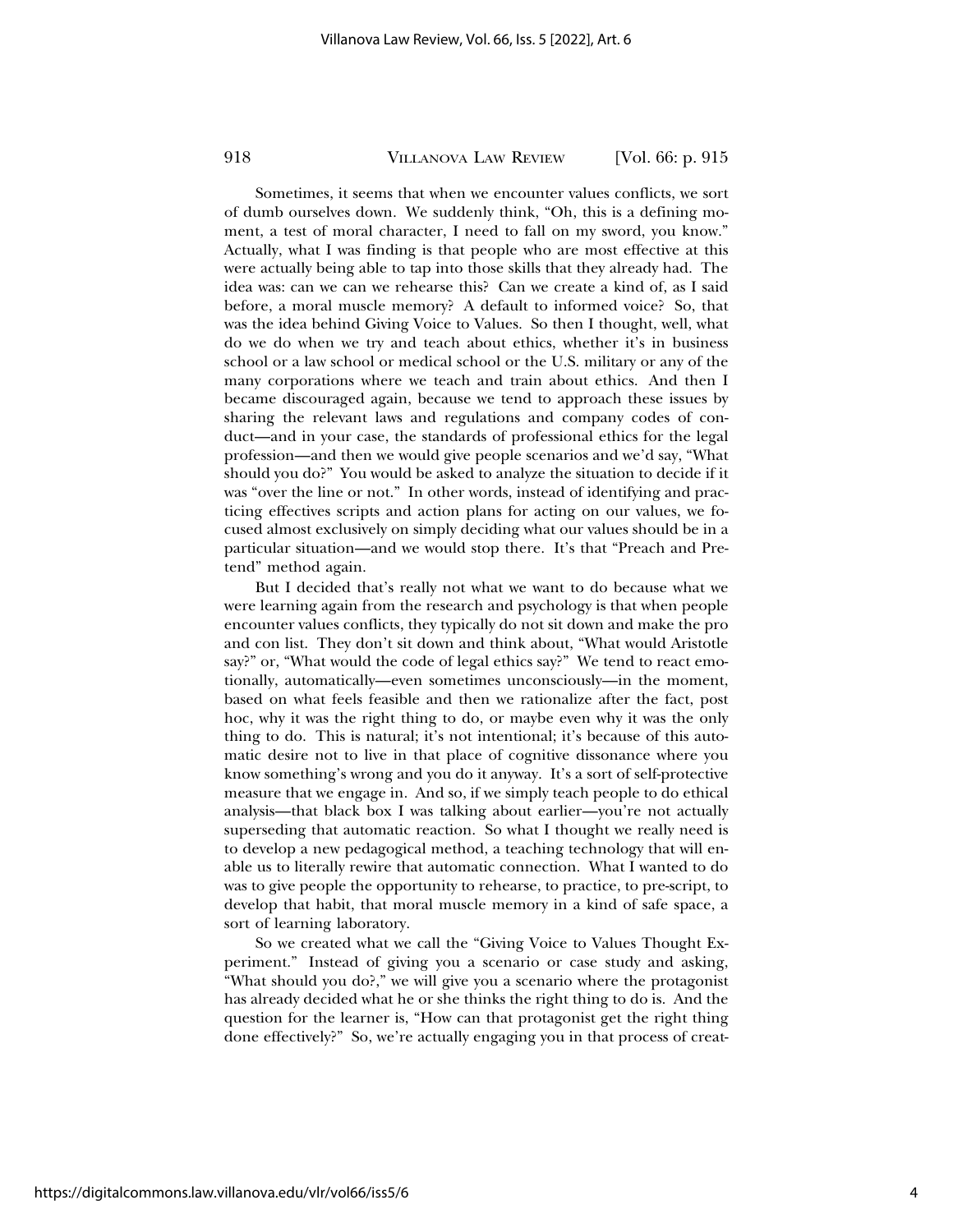Sometimes, it seems that when we encounter values conflicts, we sort of dumb ourselves down. We suddenly think, "Oh, this is a defining moment, a test of moral character, I need to fall on my sword, you know." Actually, what I was finding is that people who are most effective at this were actually being able to tap into those skills that they already had. The idea was: can we can we rehearse this? Can we create a kind of, as I said before, a moral muscle memory? A default to informed voice? So, that was the idea behind Giving Voice to Values. So then I thought, well, what do we do when we try and teach about ethics, whether it's in business school or a law school or medical school or the U.S. military or any of the many corporations where we teach and train about ethics. And then I became discouraged again, because we tend to approach these issues by sharing the relevant laws and regulations and company codes of conduct—and in your case, the standards of professional ethics for the legal profession—and then we would give people scenarios and we'd say, "What should you do?" You would be asked to analyze the situation to decide if it was "over the line or not." In other words, instead of identifying and practicing effectives scripts and action plans for acting on our values, we focused almost exclusively on simply deciding what our values should be in a particular situation—and we would stop there. It's that "Preach and Pretend" method again.

But I decided that's really not what we want to do because what we were learning again from the research and psychology is that when people encounter values conflicts, they typically do not sit down and make the pro and con list. They don't sit down and think about, "What would Aristotle say?" or, "What would the code of legal ethics say?" We tend to react emotionally, automatically—even sometimes unconsciously—in the moment, based on what feels feasible and then we rationalize after the fact, post hoc, why it was the right thing to do, or maybe even why it was the only thing to do. This is natural; it's not intentional; it's because of this automatic desire not to live in that place of cognitive dissonance where you know something's wrong and you do it anyway. It's a sort of self-protective measure that we engage in. And so, if we simply teach people to do ethical analysis—that black box I was talking about earlier—you're not actually superseding that automatic reaction. So what I thought we really need is to develop a new pedagogical method, a teaching technology that will enable us to literally rewire that automatic connection. What I wanted to do was to give people the opportunity to rehearse, to practice, to pre-script, to develop that habit, that moral muscle memory in a kind of safe space, a sort of learning laboratory.

So we created what we call the "Giving Voice to Values Thought Experiment." Instead of giving you a scenario or case study and asking, "What should you do?," we will give you a scenario where the protagonist has already decided what he or she thinks the right thing to do is. And the question for the learner is, "How can that protagonist get the right thing done effectively?" So, we're actually engaging you in that process of creat-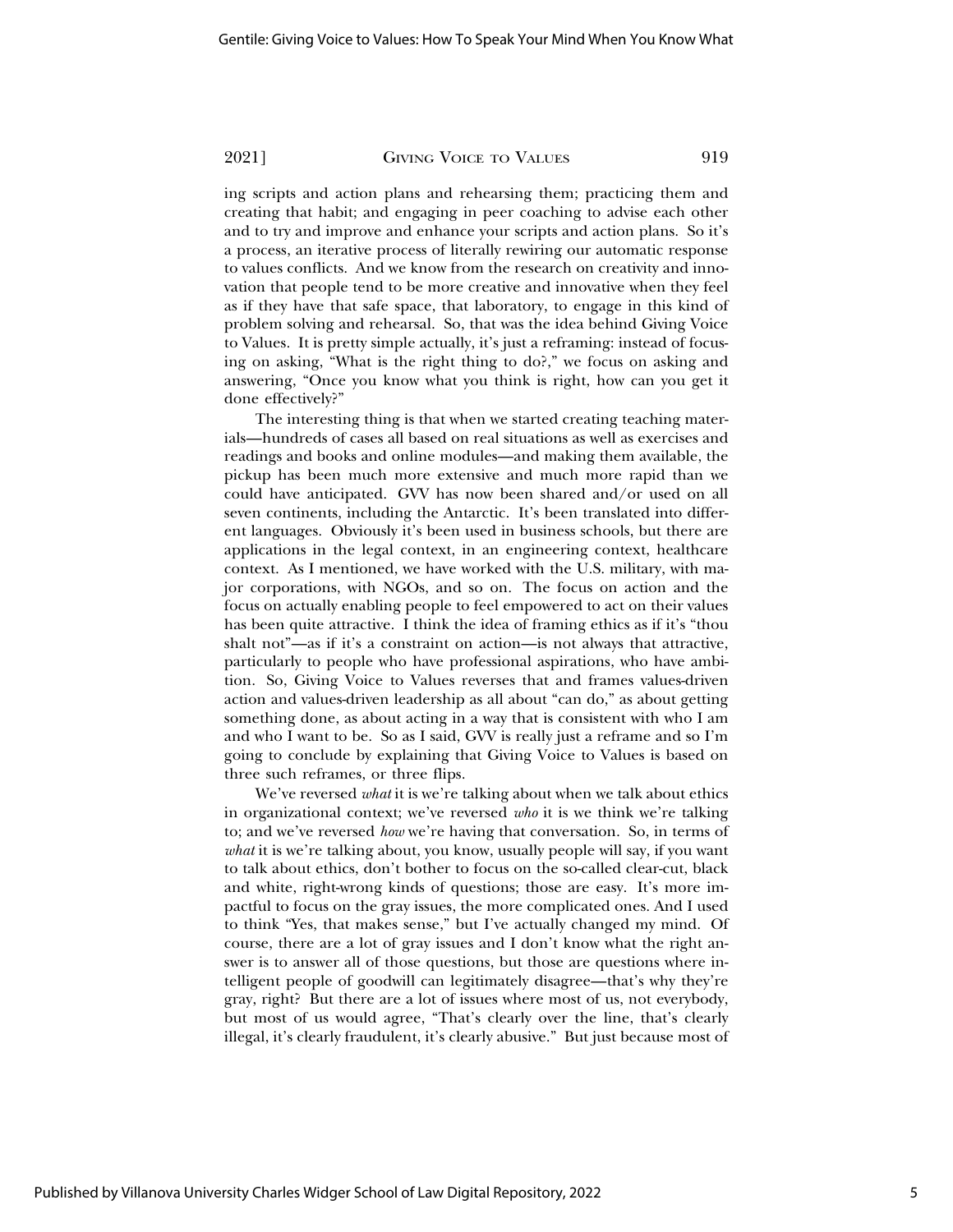ing scripts and action plans and rehearsing them; practicing them and creating that habit; and engaging in peer coaching to advise each other and to try and improve and enhance your scripts and action plans. So it's a process, an iterative process of literally rewiring our automatic response to values conflicts. And we know from the research on creativity and innovation that people tend to be more creative and innovative when they feel as if they have that safe space, that laboratory, to engage in this kind of problem solving and rehearsal. So, that was the idea behind Giving Voice to Values. It is pretty simple actually, it's just a reframing: instead of focusing on asking, "What is the right thing to do?," we focus on asking and answering, "Once you know what you think is right, how can you get it done effectively?"

The interesting thing is that when we started creating teaching materials—hundreds of cases all based on real situations as well as exercises and readings and books and online modules—and making them available, the pickup has been much more extensive and much more rapid than we could have anticipated. GVV has now been shared and/or used on all seven continents, including the Antarctic. It's been translated into different languages. Obviously it's been used in business schools, but there are applications in the legal context, in an engineering context, healthcare context. As I mentioned, we have worked with the U.S. military, with major corporations, with NGOs, and so on. The focus on action and the focus on actually enabling people to feel empowered to act on their values has been quite attractive. I think the idea of framing ethics as if it's "thou shalt not"—as if it's a constraint on action—is not always that attractive, particularly to people who have professional aspirations, who have ambition. So, Giving Voice to Values reverses that and frames values-driven action and values-driven leadership as all about "can do," as about getting something done, as about acting in a way that is consistent with who I am and who I want to be. So as I said, GVV is really just a reframe and so I'm going to conclude by explaining that Giving Voice to Values is based on three such reframes, or three flips.

We've reversed *what* it is we're talking about when we talk about ethics in organizational context; we've reversed *who* it is we think we're talking to; and we've reversed *how* we're having that conversation. So, in terms of *what* it is we're talking about, you know, usually people will say, if you want to talk about ethics, don't bother to focus on the so-called clear-cut, black and white, right-wrong kinds of questions; those are easy. It's more impactful to focus on the gray issues, the more complicated ones. And I used to think "Yes, that makes sense," but I've actually changed my mind. Of course, there are a lot of gray issues and I don't know what the right answer is to answer all of those questions, but those are questions where intelligent people of goodwill can legitimately disagree—that's why they're gray, right? But there are a lot of issues where most of us, not everybody, but most of us would agree, "That's clearly over the line, that's clearly illegal, it's clearly fraudulent, it's clearly abusive." But just because most of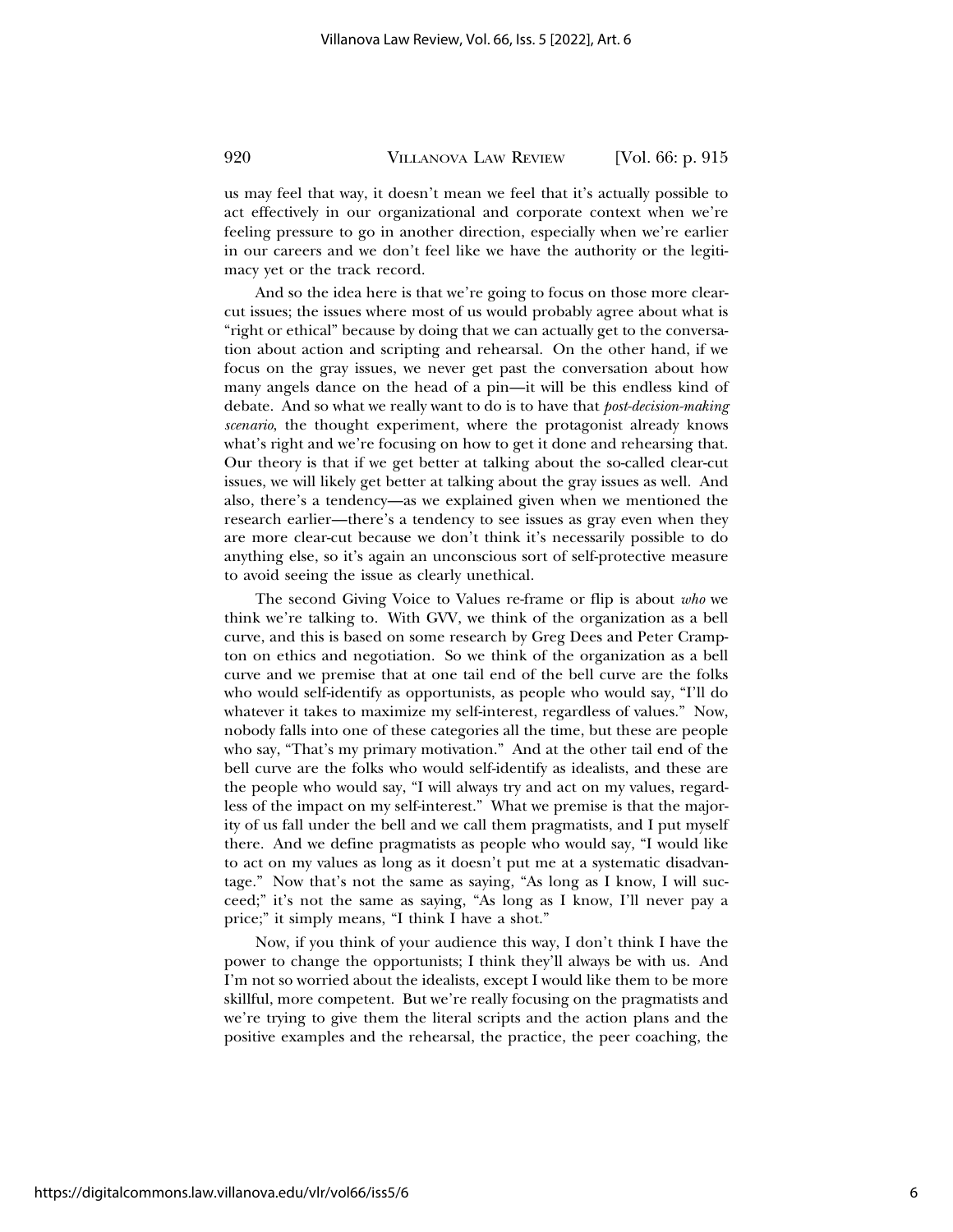us may feel that way, it doesn't mean we feel that it's actually possible to act effectively in our organizational and corporate context when we're feeling pressure to go in another direction, especially when we're earlier in our careers and we don't feel like we have the authority or the legitimacy yet or the track record.

And so the idea here is that we're going to focus on those more clearcut issues; the issues where most of us would probably agree about what is "right or ethical" because by doing that we can actually get to the conversation about action and scripting and rehearsal. On the other hand, if we focus on the gray issues, we never get past the conversation about how many angels dance on the head of a pin—it will be this endless kind of debate. And so what we really want to do is to have that *post-decision-making scenario*, the thought experiment, where the protagonist already knows what's right and we're focusing on how to get it done and rehearsing that. Our theory is that if we get better at talking about the so-called clear-cut issues, we will likely get better at talking about the gray issues as well. And also, there's a tendency—as we explained given when we mentioned the research earlier—there's a tendency to see issues as gray even when they are more clear-cut because we don't think it's necessarily possible to do anything else, so it's again an unconscious sort of self-protective measure to avoid seeing the issue as clearly unethical.

The second Giving Voice to Values re-frame or flip is about *who* we think we're talking to. With GVV, we think of the organization as a bell curve, and this is based on some research by Greg Dees and Peter Crampton on ethics and negotiation. So we think of the organization as a bell curve and we premise that at one tail end of the bell curve are the folks who would self-identify as opportunists, as people who would say, "I'll do whatever it takes to maximize my self-interest, regardless of values." Now, nobody falls into one of these categories all the time, but these are people who say, "That's my primary motivation." And at the other tail end of the bell curve are the folks who would self-identify as idealists, and these are the people who would say, "I will always try and act on my values, regardless of the impact on my self-interest." What we premise is that the majority of us fall under the bell and we call them pragmatists, and I put myself there. And we define pragmatists as people who would say, "I would like to act on my values as long as it doesn't put me at a systematic disadvantage." Now that's not the same as saying, "As long as I know, I will succeed;" it's not the same as saying, "As long as I know, I'll never pay a price;" it simply means, "I think I have a shot."

Now, if you think of your audience this way, I don't think I have the power to change the opportunists; I think they'll always be with us. And I'm not so worried about the idealists, except I would like them to be more skillful, more competent. But we're really focusing on the pragmatists and we're trying to give them the literal scripts and the action plans and the positive examples and the rehearsal, the practice, the peer coaching, the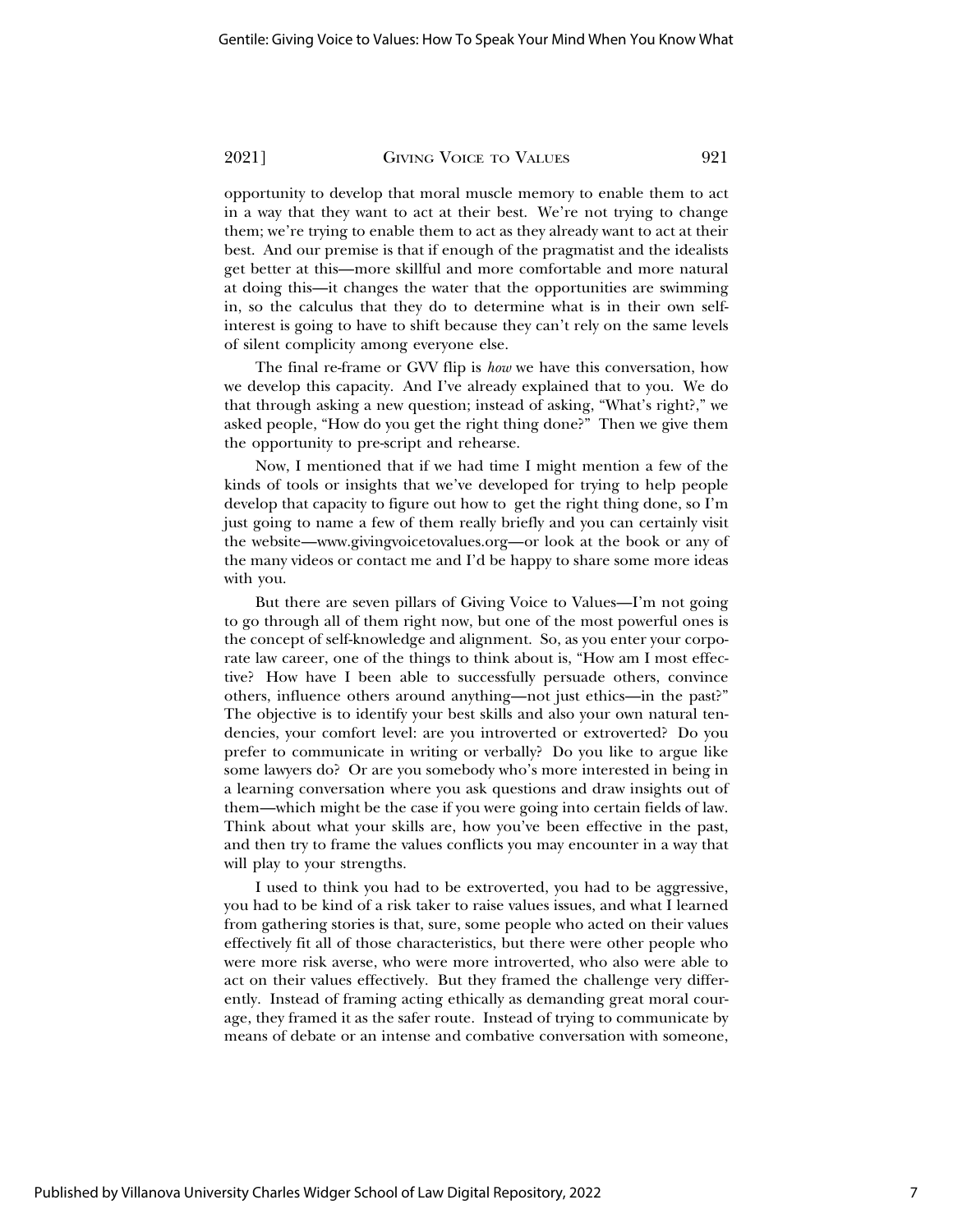opportunity to develop that moral muscle memory to enable them to act in a way that they want to act at their best. We're not trying to change them; we're trying to enable them to act as they already want to act at their best. And our premise is that if enough of the pragmatist and the idealists get better at this—more skillful and more comfortable and more natural at doing this—it changes the water that the opportunities are swimming in, so the calculus that they do to determine what is in their own selfinterest is going to have to shift because they can't rely on the same levels of silent complicity among everyone else.

The final re-frame or GVV flip is *how* we have this conversation, how we develop this capacity. And I've already explained that to you. We do that through asking a new question; instead of asking, "What's right?," we asked people, "How do you get the right thing done?" Then we give them the opportunity to pre-script and rehearse.

Now, I mentioned that if we had time I might mention a few of the kinds of tools or insights that we've developed for trying to help people develop that capacity to figure out how to get the right thing done, so I'm just going to name a few of them really briefly and you can certainly visit the website—www.givingvoicetovalues.org—or look at the book or any of the many videos or contact me and I'd be happy to share some more ideas with you.

But there are seven pillars of Giving Voice to Values—I'm not going to go through all of them right now, but one of the most powerful ones is the concept of self-knowledge and alignment. So, as you enter your corporate law career, one of the things to think about is, "How am I most effective? How have I been able to successfully persuade others, convince others, influence others around anything—not just ethics—in the past?" The objective is to identify your best skills and also your own natural tendencies, your comfort level: are you introverted or extroverted? Do you prefer to communicate in writing or verbally? Do you like to argue like some lawyers do? Or are you somebody who's more interested in being in a learning conversation where you ask questions and draw insights out of them—which might be the case if you were going into certain fields of law. Think about what your skills are, how you've been effective in the past, and then try to frame the values conflicts you may encounter in a way that will play to your strengths.

I used to think you had to be extroverted, you had to be aggressive, you had to be kind of a risk taker to raise values issues, and what I learned from gathering stories is that, sure, some people who acted on their values effectively fit all of those characteristics, but there were other people who were more risk averse, who were more introverted, who also were able to act on their values effectively. But they framed the challenge very differently. Instead of framing acting ethically as demanding great moral courage, they framed it as the safer route. Instead of trying to communicate by means of debate or an intense and combative conversation with someone,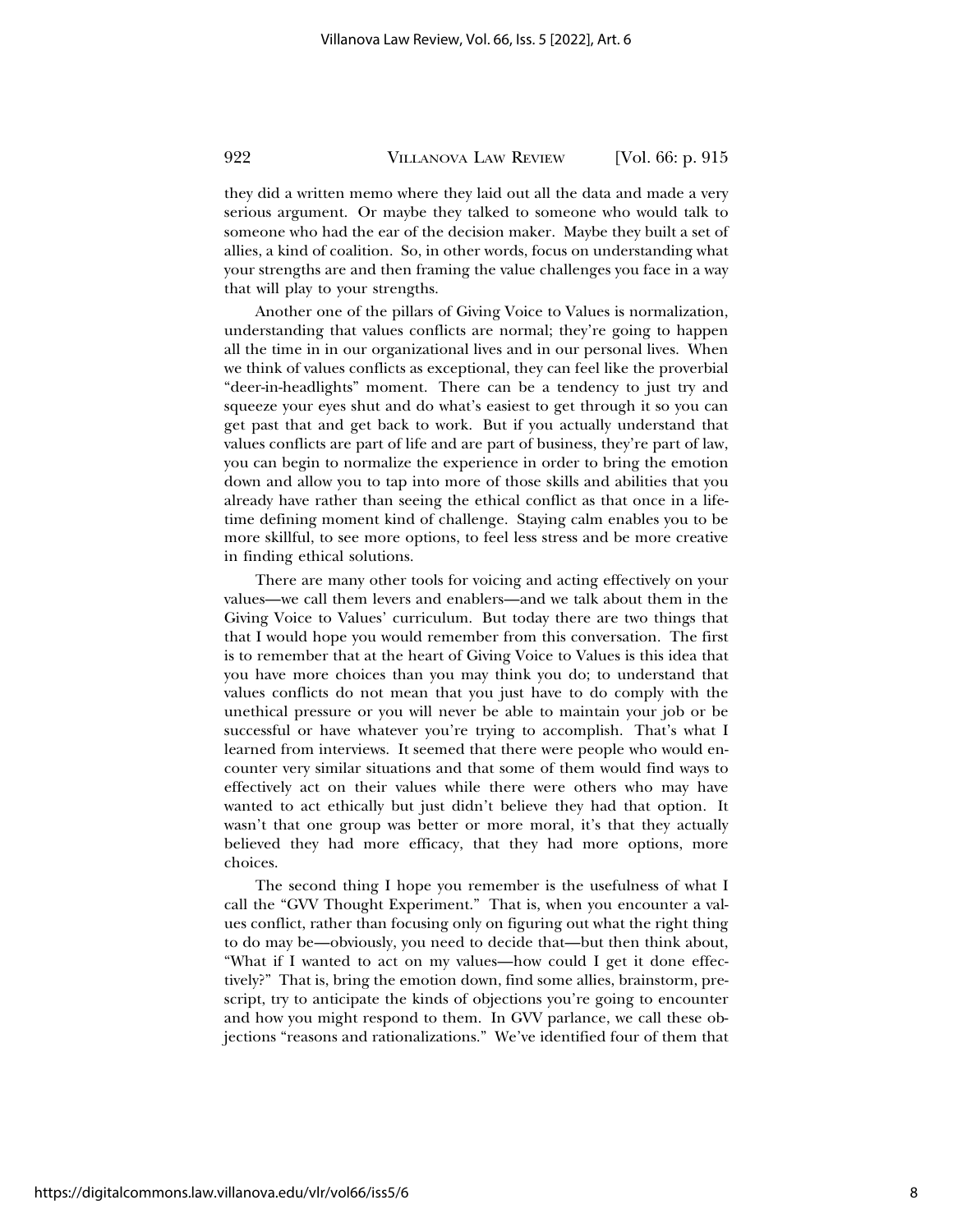they did a written memo where they laid out all the data and made a very serious argument. Or maybe they talked to someone who would talk to someone who had the ear of the decision maker. Maybe they built a set of allies, a kind of coalition. So, in other words, focus on understanding what your strengths are and then framing the value challenges you face in a way that will play to your strengths.

Another one of the pillars of Giving Voice to Values is normalization, understanding that values conflicts are normal; they're going to happen all the time in in our organizational lives and in our personal lives. When we think of values conflicts as exceptional, they can feel like the proverbial "deer-in-headlights" moment. There can be a tendency to just try and squeeze your eyes shut and do what's easiest to get through it so you can get past that and get back to work. But if you actually understand that values conflicts are part of life and are part of business, they're part of law, you can begin to normalize the experience in order to bring the emotion down and allow you to tap into more of those skills and abilities that you already have rather than seeing the ethical conflict as that once in a lifetime defining moment kind of challenge. Staying calm enables you to be more skillful, to see more options, to feel less stress and be more creative in finding ethical solutions.

There are many other tools for voicing and acting effectively on your values—we call them levers and enablers—and we talk about them in the Giving Voice to Values' curriculum. But today there are two things that that I would hope you would remember from this conversation. The first is to remember that at the heart of Giving Voice to Values is this idea that you have more choices than you may think you do; to understand that values conflicts do not mean that you just have to do comply with the unethical pressure or you will never be able to maintain your job or be successful or have whatever you're trying to accomplish. That's what I learned from interviews. It seemed that there were people who would encounter very similar situations and that some of them would find ways to effectively act on their values while there were others who may have wanted to act ethically but just didn't believe they had that option. It wasn't that one group was better or more moral, it's that they actually believed they had more efficacy, that they had more options, more choices.

The second thing I hope you remember is the usefulness of what I call the "GVV Thought Experiment." That is, when you encounter a values conflict, rather than focusing only on figuring out what the right thing to do may be—obviously, you need to decide that—but then think about, "What if I wanted to act on my values—how could I get it done effectively?" That is, bring the emotion down, find some allies, brainstorm, prescript, try to anticipate the kinds of objections you're going to encounter and how you might respond to them. In GVV parlance, we call these objections "reasons and rationalizations." We've identified four of them that